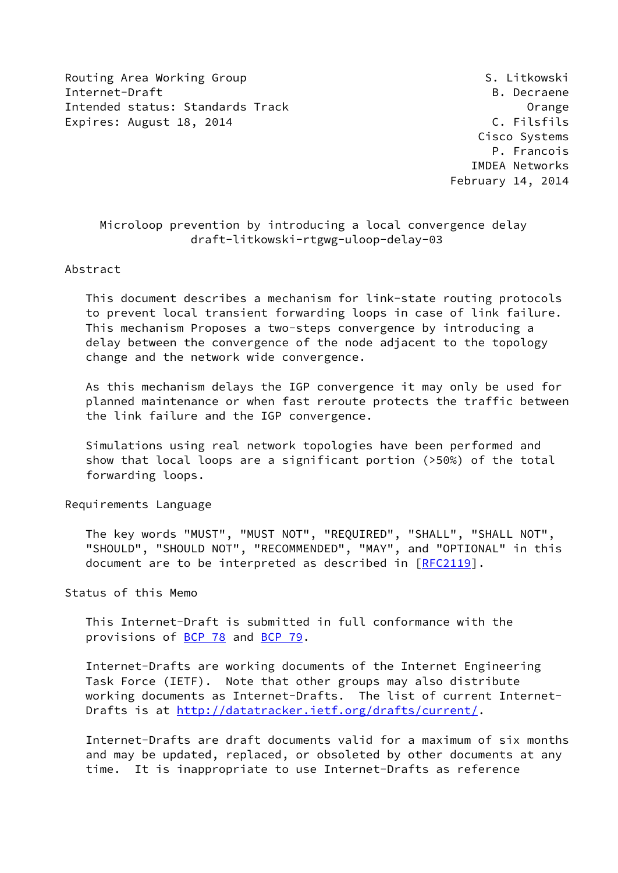Routing Area Working Group S. Litkowski Internet-Draft B. Decraene Intended status: Standards Track Controller Controller Communist Controller Communist Communist Communist Communist Communist Communist Communist Communist Communist Communist Communist Communist Communist Communist Commun Expires: August 18, 2014 C. Filsfils

 Cisco Systems P. Francois IMDEA Networks February 14, 2014

## Microloop prevention by introducing a local convergence delay draft-litkowski-rtgwg-uloop-delay-03

#### Abstract

 This document describes a mechanism for link-state routing protocols to prevent local transient forwarding loops in case of link failure. This mechanism Proposes a two-steps convergence by introducing a delay between the convergence of the node adjacent to the topology change and the network wide convergence.

 As this mechanism delays the IGP convergence it may only be used for planned maintenance or when fast reroute protects the traffic between the link failure and the IGP convergence.

 Simulations using real network topologies have been performed and show that local loops are a significant portion (>50%) of the total forwarding loops.

#### Requirements Language

 The key words "MUST", "MUST NOT", "REQUIRED", "SHALL", "SHALL NOT", "SHOULD", "SHOULD NOT", "RECOMMENDED", "MAY", and "OPTIONAL" in this document are to be interpreted as described in [\[RFC2119](https://datatracker.ietf.org/doc/pdf/rfc2119)].

Status of this Memo

 This Internet-Draft is submitted in full conformance with the provisions of [BCP 78](https://datatracker.ietf.org/doc/pdf/bcp78) and [BCP 79](https://datatracker.ietf.org/doc/pdf/bcp79).

 Internet-Drafts are working documents of the Internet Engineering Task Force (IETF). Note that other groups may also distribute working documents as Internet-Drafts. The list of current Internet Drafts is at<http://datatracker.ietf.org/drafts/current/>.

 Internet-Drafts are draft documents valid for a maximum of six months and may be updated, replaced, or obsoleted by other documents at any time. It is inappropriate to use Internet-Drafts as reference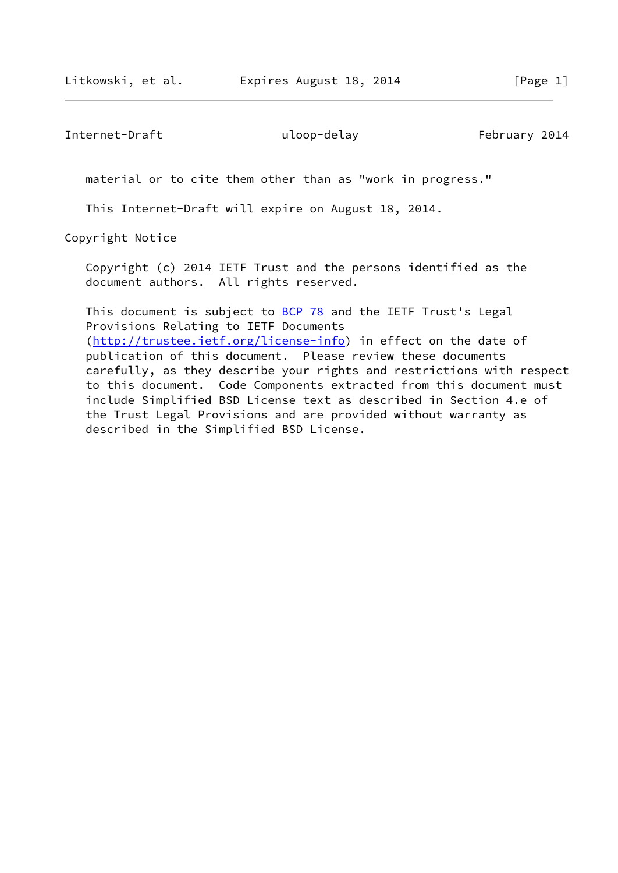Internet-Draft uloop-delay uloop-terminal uloop-delay February 2014

material or to cite them other than as "work in progress."

This Internet-Draft will expire on August 18, 2014.

Copyright Notice

 Copyright (c) 2014 IETF Trust and the persons identified as the document authors. All rights reserved.

This document is subject to **[BCP 78](https://datatracker.ietf.org/doc/pdf/bcp78)** and the IETF Trust's Legal Provisions Relating to IETF Documents [\(http://trustee.ietf.org/license-info](http://trustee.ietf.org/license-info)) in effect on the date of publication of this document. Please review these documents carefully, as they describe your rights and restrictions with respect to this document. Code Components extracted from this document must include Simplified BSD License text as described in Section 4.e of the Trust Legal Provisions and are provided without warranty as described in the Simplified BSD License.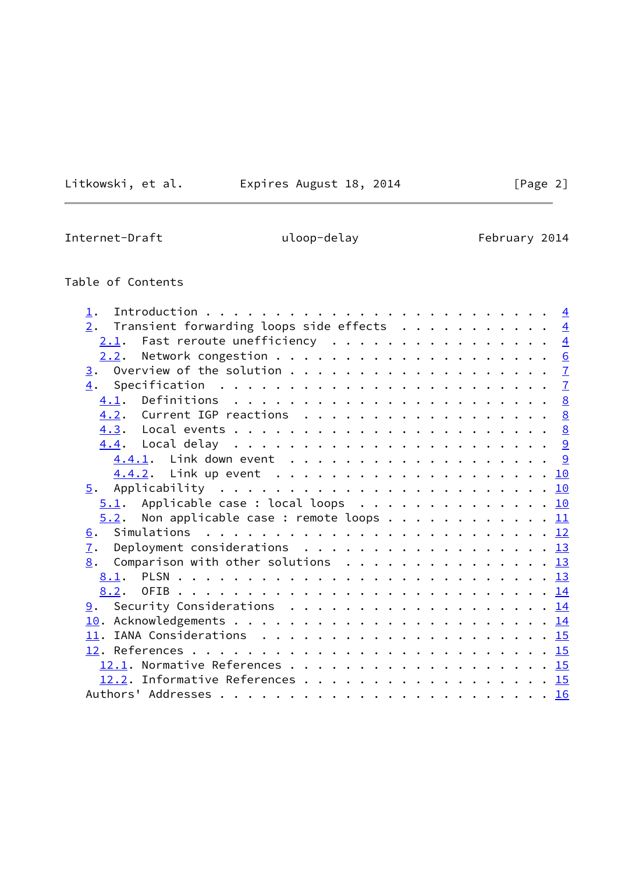Litkowski, et al. Expires August 18, 2014 [Page 2]

Internet-Draft **Easily** uloop-delay February 2014

# Table of Contents

| $\perp$ .                                                |  |  |
|----------------------------------------------------------|--|--|
| 2. Transient forwarding loops side effects $\frac{4}{5}$ |  |  |
| $2.1$ . Fast reroute unefficiency 4                      |  |  |
|                                                          |  |  |
|                                                          |  |  |
|                                                          |  |  |
|                                                          |  |  |
| 4.2. Current IGP reactions 8                             |  |  |
|                                                          |  |  |
|                                                          |  |  |
| 4.4.1. Link down event 9                                 |  |  |
|                                                          |  |  |
|                                                          |  |  |
| $5.1$ . Applicable case : local loops 10                 |  |  |
| 5.2. Non applicable case : remote loops 11               |  |  |
|                                                          |  |  |
| 7. Deployment considerations 13                          |  |  |
| $\underline{8}$ . Comparison with other solutions 13     |  |  |
|                                                          |  |  |
|                                                          |  |  |
| 9. Security Considerations 14                            |  |  |
|                                                          |  |  |
|                                                          |  |  |
|                                                          |  |  |
| 12.1. Normative References 15                            |  |  |
| 12.2. Informative References 15                          |  |  |
|                                                          |  |  |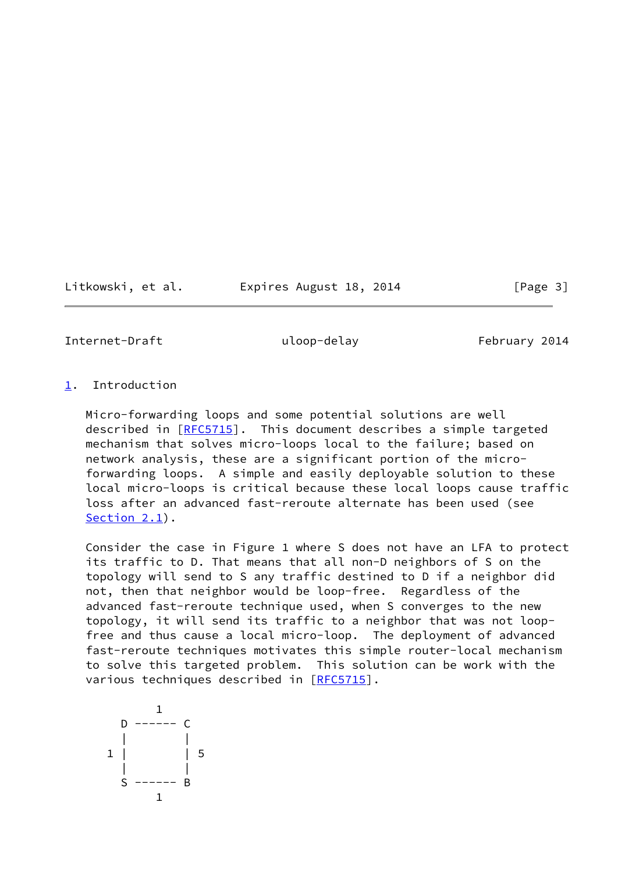Litkowski, et al. Expires August 18, 2014 [Page 3]

<span id="page-3-1"></span>Internet-Draft uloop-delay uloop-telay February 2014

<span id="page-3-0"></span>[1](#page-3-0). Introduction

 Micro-forwarding loops and some potential solutions are well described in [\[RFC5715](https://datatracker.ietf.org/doc/pdf/rfc5715)]. This document describes a simple targeted mechanism that solves micro-loops local to the failure; based on network analysis, these are a significant portion of the micro forwarding loops. A simple and easily deployable solution to these local micro-loops is critical because these local loops cause traffic loss after an advanced fast-reroute alternate has been used (see [Section 2.1](#page-4-1)).

 Consider the case in Figure 1 where S does not have an LFA to protect its traffic to D. That means that all non-D neighbors of S on the topology will send to S any traffic destined to D if a neighbor did not, then that neighbor would be loop-free. Regardless of the advanced fast-reroute technique used, when S converges to the new topology, it will send its traffic to a neighbor that was not loop free and thus cause a local micro-loop. The deployment of advanced fast-reroute techniques motivates this simple router-local mechanism to solve this targeted problem. This solution can be work with the various techniques described in [\[RFC5715](https://datatracker.ietf.org/doc/pdf/rfc5715)].

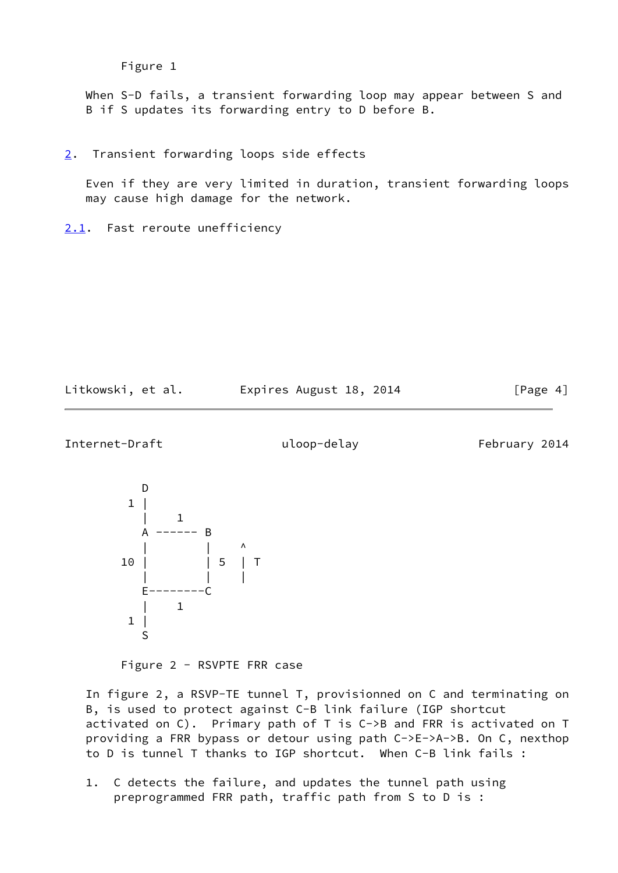```
 Figure 1
```
When S-D fails, a transient forwarding loop may appear between S and B if S updates its forwarding entry to D before B.

<span id="page-4-0"></span>[2](#page-4-0). Transient forwarding loops side effects

 Even if they are very limited in duration, transient forwarding loops may cause high damage for the network.

<span id="page-4-1"></span>[2.1](#page-4-1). Fast reroute unefficiency

| Litkowski, et al. |  | Expires Augu |  |
|-------------------|--|--------------|--|
|                   |  |              |  |

gust 18, 2014 [Page 4]

Internet-Draft uloop-delay uloop-terminal uloop-delay February 2014



Figure 2 - RSVPTE FRR case

 In figure 2, a RSVP-TE tunnel T, provisionned on C and terminating on B, is used to protect against C-B link failure (IGP shortcut activated on C). Primary path of T is C->B and FRR is activated on T providing a FRR bypass or detour using path C->E->A->B. On C, nexthop to D is tunnel T thanks to IGP shortcut. When C-B link fails :

 1. C detects the failure, and updates the tunnel path using preprogrammed FRR path, traffic path from S to D is :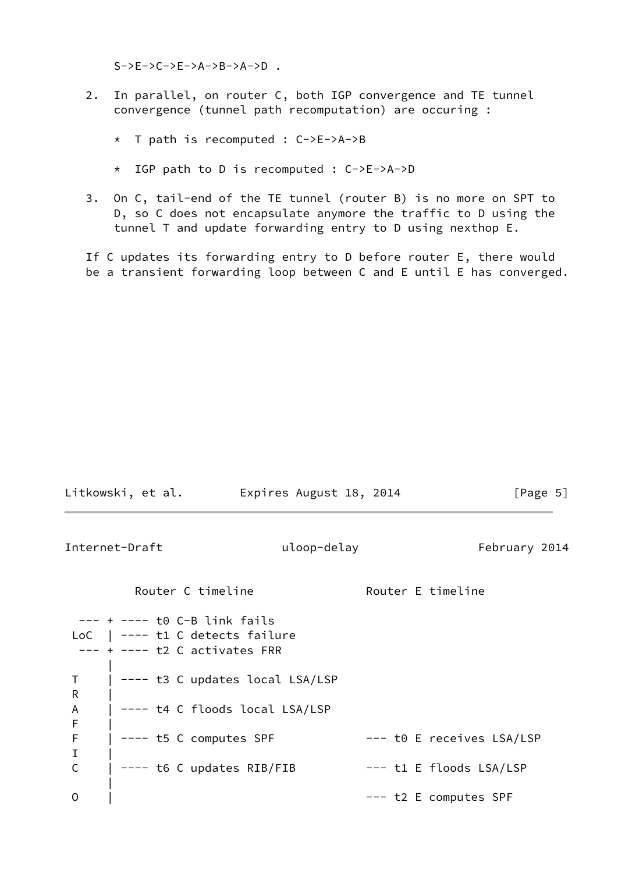$S->E->C->E->A->B->A->D$ .

- 2. In parallel, on router C, both IGP convergence and TE tunnel convergence (tunnel path recomputation) are occuring :
	- \* T path is recomputed : C->E->A->B
	- \* IGP path to D is recomputed : C->E->A->D
- 3. On C, tail-end of the TE tunnel (router B) is no more on SPT to D, so C does not encapsulate anymore the traffic to D using the tunnel T and update forwarding entry to D using nexthop E.

 If C updates its forwarding entry to D before router E, there would be a transient forwarding loop between C and E until E has converged.

<span id="page-5-0"></span>

| Litkowski, et al.       Expires August 18, 2014                                                          |                                 | [Page 5]                    |
|----------------------------------------------------------------------------------------------------------|---------------------------------|-----------------------------|
| Internet-Draft                                                                                           | uloop-delay                     | February 2014               |
| Router C timeline                                                                                        |                                 | Router E timeline           |
| $--- + --- to C-B link fails$<br>LoC $\vert$ ---- t1 C detects failure<br>$--- + ---$ t2 C activates FRR |                                 |                             |
| Τ<br>R                                                                                                   | ---- t3 C updates local LSA/LSP |                             |
| A<br>F                                                                                                   | ---- t4 C floods local LSA/LSP  |                             |
| F<br>$---$ t5 C computes SPF<br>I                                                                        |                                 | $---$ t0 E receives LSA/LSP |
| $\mathsf C$<br>---- t6 C updates RIB/FIB                                                                 |                                 | --- t1 E floods LSA/LSP     |
| 0                                                                                                        |                                 | --- t2 E computes SPF       |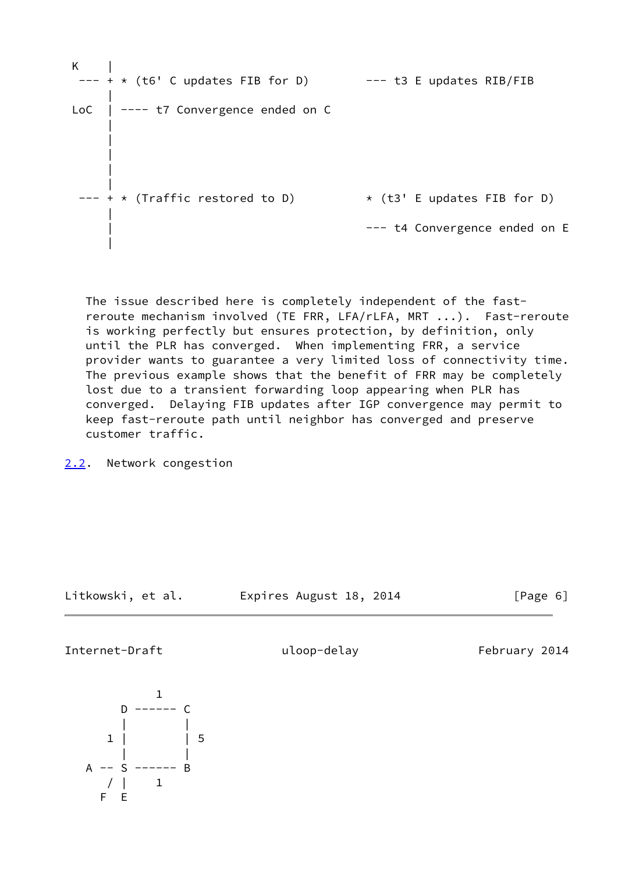| K<br>$--- + * (t6' C updates FIB for D)$   | --- t3 E updates RIB/FIB      |
|--------------------------------------------|-------------------------------|
| LoC $\vert$ ---- t7 Convergence ended on C |                               |
|                                            |                               |
| $--- + * (Traffic restored to D)$          | * (t3' E updates FIB for D)   |
|                                            | --- t4 Convergence ended on E |

 The issue described here is completely independent of the fast reroute mechanism involved (TE FRR, LFA/rLFA, MRT ...). Fast-reroute is working perfectly but ensures protection, by definition, only until the PLR has converged. When implementing FRR, a service provider wants to guarantee a very limited loss of connectivity time. The previous example shows that the benefit of FRR may be completely lost due to a transient forwarding loop appearing when PLR has converged. Delaying FIB updates after IGP convergence may permit to keep fast-reroute path until neighbor has converged and preserve customer traffic.

<span id="page-6-0"></span>[2.2](#page-6-0). Network congestion

Litkowski, et al. Expires August 18, 2014 [Page 6]

<span id="page-6-1"></span>Internet-Draft uloop-delay uloop-terminal uloop-delay February 2014

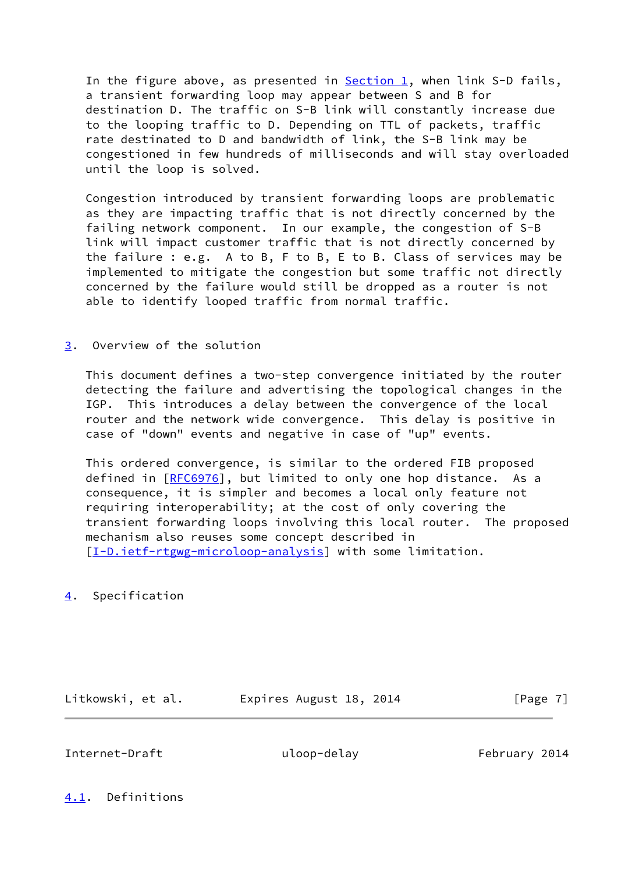In the figure above, as presented in  $Section 1$ , when link S-D fails, a transient forwarding loop may appear between S and B for destination D. The traffic on S-B link will constantly increase due to the looping traffic to D. Depending on TTL of packets, traffic rate destinated to D and bandwidth of link, the S-B link may be congestioned in few hundreds of milliseconds and will stay overloaded until the loop is solved.

 Congestion introduced by transient forwarding loops are problematic as they are impacting traffic that is not directly concerned by the failing network component. In our example, the congestion of S-B link will impact customer traffic that is not directly concerned by the failure : e.g. A to B, F to B, E to B. Class of services may be implemented to mitigate the congestion but some traffic not directly concerned by the failure would still be dropped as a router is not able to identify looped traffic from normal traffic.

## <span id="page-7-0"></span>[3](#page-7-0). Overview of the solution

 This document defines a two-step convergence initiated by the router detecting the failure and advertising the topological changes in the IGP. This introduces a delay between the convergence of the local router and the network wide convergence. This delay is positive in case of "down" events and negative in case of "up" events.

 This ordered convergence, is similar to the ordered FIB proposed defined in [[RFC6976\]](https://datatracker.ietf.org/doc/pdf/rfc6976), but limited to only one hop distance. As a consequence, it is simpler and becomes a local only feature not requiring interoperability; at the cost of only covering the transient forwarding loops involving this local router. The proposed mechanism also reuses some concept described in [\[I-D.ietf-rtgwg-microloop-analysis](#page-16-4)] with some limitation.

<span id="page-7-1"></span>[4](#page-7-1). Specification

Litkowski, et al. Expires August 18, 2014 [Page 7]

<span id="page-7-3"></span>Internet-Draft uloop-delay February 2014

<span id="page-7-2"></span>[4.1](#page-7-2). Definitions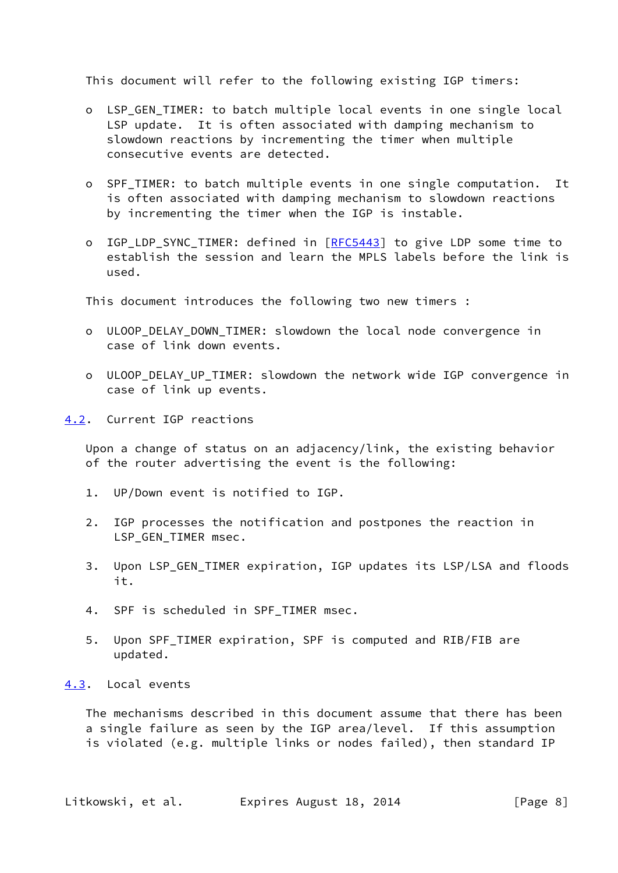This document will refer to the following existing IGP timers:

- o LSP\_GEN\_TIMER: to batch multiple local events in one single local LSP update. It is often associated with damping mechanism to slowdown reactions by incrementing the timer when multiple consecutive events are detected.
- o SPF\_TIMER: to batch multiple events in one single computation. It is often associated with damping mechanism to slowdown reactions by incrementing the timer when the IGP is instable.
- o IGP\_LDP\_SYNC\_TIMER: defined in [[RFC5443](https://datatracker.ietf.org/doc/pdf/rfc5443)] to give LDP some time to establish the session and learn the MPLS labels before the link is used.

This document introduces the following two new timers :

- o ULOOP\_DELAY\_DOWN\_TIMER: slowdown the local node convergence in case of link down events.
- o ULOOP\_DELAY\_UP\_TIMER: slowdown the network wide IGP convergence in case of link up events.
- <span id="page-8-0"></span>[4.2](#page-8-0). Current IGP reactions

 Upon a change of status on an adjacency/link, the existing behavior of the router advertising the event is the following:

- 1. UP/Down event is notified to IGP.
- 2. IGP processes the notification and postpones the reaction in LSP\_GEN\_TIMER msec.
- 3. Upon LSP\_GEN\_TIMER expiration, IGP updates its LSP/LSA and floods it.
- 4. SPF is scheduled in SPF TIMER msec.
- 5. Upon SPF\_TIMER expiration, SPF is computed and RIB/FIB are updated.

<span id="page-8-1"></span>[4.3](#page-8-1). Local events

 The mechanisms described in this document assume that there has been a single failure as seen by the IGP area/level. If this assumption is violated (e.g. multiple links or nodes failed), then standard IP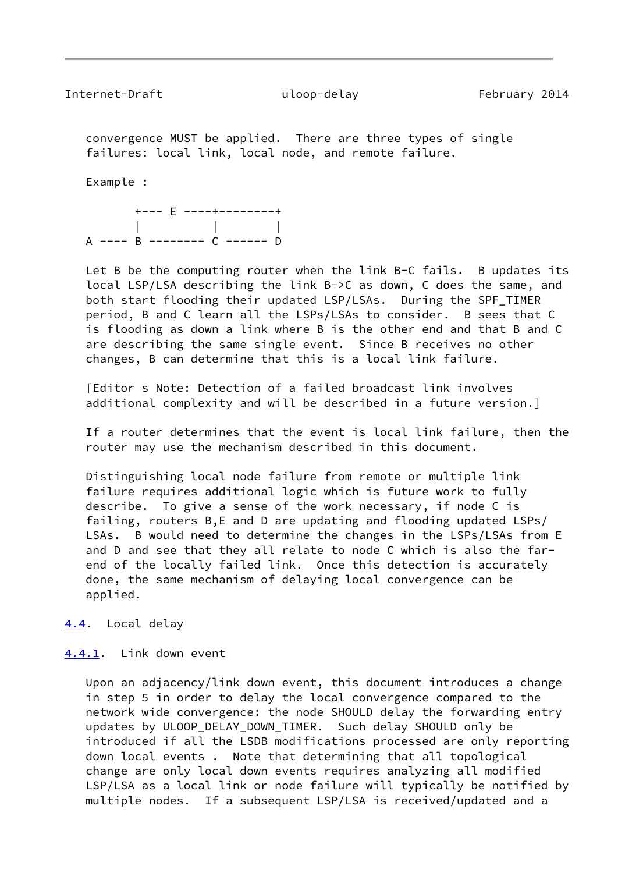<span id="page-9-1"></span> convergence MUST be applied. There are three types of single failures: local link, local node, and remote failure.

Example :

 +--- E ----+--------+ | | | A ---- B -------- C ------ D

 Let B be the computing router when the link B-C fails. B updates its local LSP/LSA describing the link B->C as down, C does the same, and both start flooding their updated LSP/LSAs. During the SPF\_TIMER period, B and C learn all the LSPs/LSAs to consider. B sees that C is flooding as down a link where B is the other end and that B and C are describing the same single event. Since B receives no other changes, B can determine that this is a local link failure.

 [Editor s Note: Detection of a failed broadcast link involves additional complexity and will be described in a future version.]

 If a router determines that the event is local link failure, then the router may use the mechanism described in this document.

 Distinguishing local node failure from remote or multiple link failure requires additional logic which is future work to fully describe. To give a sense of the work necessary, if node C is failing, routers B,E and D are updating and flooding updated LSPs/ LSAs. B would need to determine the changes in the LSPs/LSAs from E and D and see that they all relate to node C which is also the far end of the locally failed link. Once this detection is accurately done, the same mechanism of delaying local convergence can be applied.

<span id="page-9-0"></span>[4.4](#page-9-0). Local delay

#### <span id="page-9-2"></span>[4.4.1](#page-9-2). Link down event

 Upon an adjacency/link down event, this document introduces a change in step 5 in order to delay the local convergence compared to the network wide convergence: the node SHOULD delay the forwarding entry updates by ULOOP\_DELAY\_DOWN\_TIMER. Such delay SHOULD only be introduced if all the LSDB modifications processed are only reporting down local events . Note that determining that all topological change are only local down events requires analyzing all modified LSP/LSA as a local link or node failure will typically be notified by multiple nodes. If a subsequent LSP/LSA is received/updated and a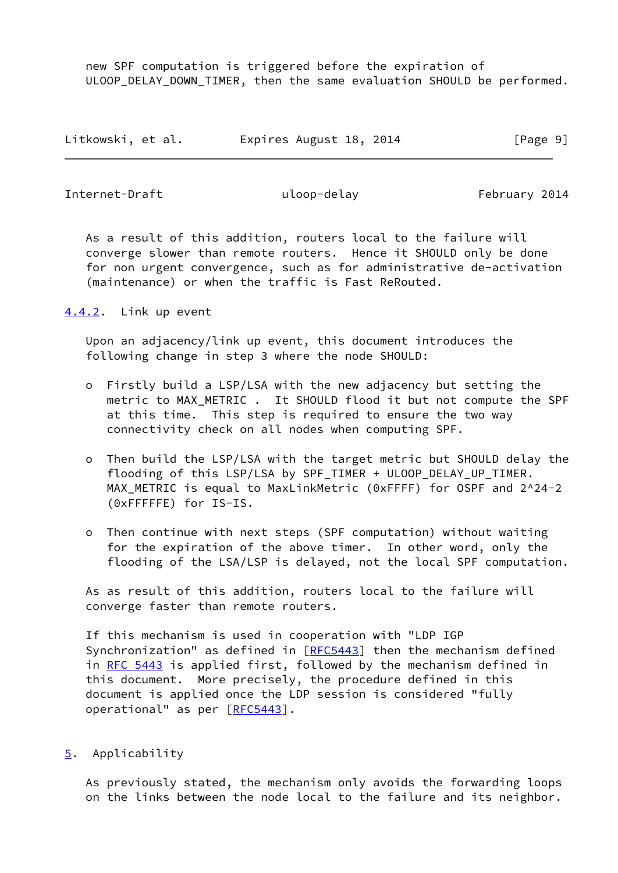new SPF computation is triggered before the expiration of ULOOP\_DELAY\_DOWN\_TIMER, then the same evaluation SHOULD be performed.

| Litkowski, et al. | Expires August 18, 2014 | [Page 9] |
|-------------------|-------------------------|----------|
|-------------------|-------------------------|----------|

<span id="page-10-1"></span>Internet-Draft uloop-delay uloop-telay February 2014

 As a result of this addition, routers local to the failure will converge slower than remote routers. Hence it SHOULD only be done for non urgent convergence, such as for administrative de-activation (maintenance) or when the traffic is Fast ReRouted.

<span id="page-10-0"></span>[4.4.2](#page-10-0). Link up event

 Upon an adjacency/link up event, this document introduces the following change in step 3 where the node SHOULD:

- o Firstly build a LSP/LSA with the new adjacency but setting the metric to MAX METRIC . It SHOULD flood it but not compute the SPF at this time. This step is required to ensure the two way connectivity check on all nodes when computing SPF.
- o Then build the LSP/LSA with the target metric but SHOULD delay the flooding of this LSP/LSA by SPF\_TIMER + ULOOP\_DELAY\_UP\_TIMER. MAX METRIC is equal to MaxLinkMetric (0xFFFF) for OSPF and 2^24-2 (0xFFFFFE) for IS-IS.
- o Then continue with next steps (SPF computation) without waiting for the expiration of the above timer. In other word, only the flooding of the LSA/LSP is delayed, not the local SPF computation.

 As as result of this addition, routers local to the failure will converge faster than remote routers.

 If this mechanism is used in cooperation with "LDP IGP Synchronization" as defined in [\[RFC5443](https://datatracker.ietf.org/doc/pdf/rfc5443)] then the mechanism defined in [RFC 5443](https://datatracker.ietf.org/doc/pdf/rfc5443) is applied first, followed by the mechanism defined in this document. More precisely, the procedure defined in this document is applied once the LDP session is considered "fully operational" as per [\[RFC5443](https://datatracker.ietf.org/doc/pdf/rfc5443)].

<span id="page-10-2"></span>[5](#page-10-2). Applicability

 As previously stated, the mechanism only avoids the forwarding loops on the links between the node local to the failure and its neighbor.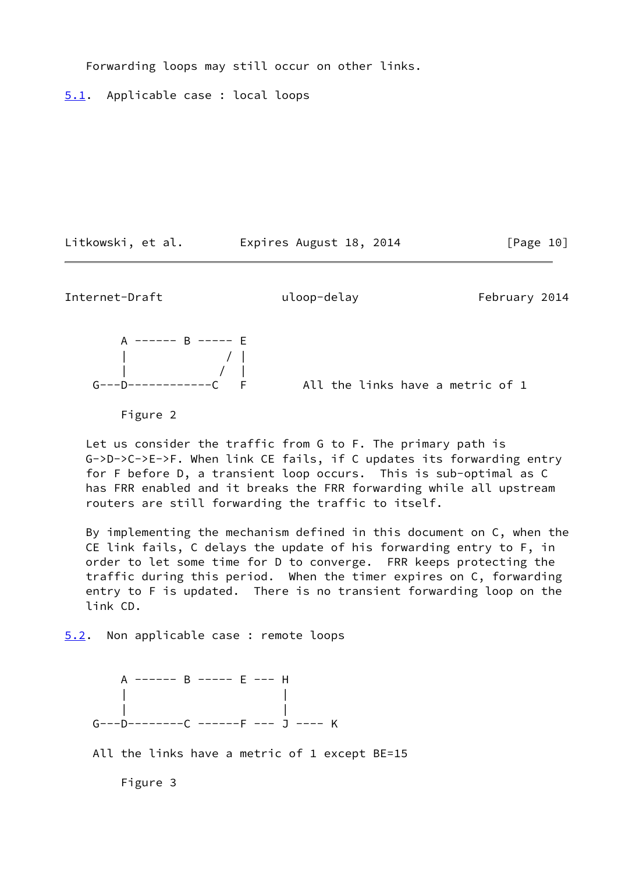Forwarding loops may still occur on other links.

<span id="page-11-0"></span>[5.1](#page-11-0). Applicable case : local loops

Litkowski, et al. Expires August 18, 2014 [Page 10]

<span id="page-11-2"></span>Internet-Draft and uloop-delay February 2014

 A ------ B ----- E | / | | / | F All the links have a metric of 1

Figure 2

 Let us consider the traffic from G to F. The primary path is G->D->C->E->F. When link CE fails, if C updates its forwarding entry for F before D, a transient loop occurs. This is sub-optimal as C has FRR enabled and it breaks the FRR forwarding while all upstream routers are still forwarding the traffic to itself.

 By implementing the mechanism defined in this document on C, when the CE link fails, C delays the update of his forwarding entry to F, in order to let some time for D to converge. FRR keeps protecting the traffic during this period. When the timer expires on C, forwarding entry to F is updated. There is no transient forwarding loop on the link CD.

<span id="page-11-1"></span>[5.2](#page-11-1). Non applicable case : remote loops

 A ------ B ----- E --- H | | | | G---D--------C ------F --- J ---- K

All the links have a metric of 1 except BE=15

Figure 3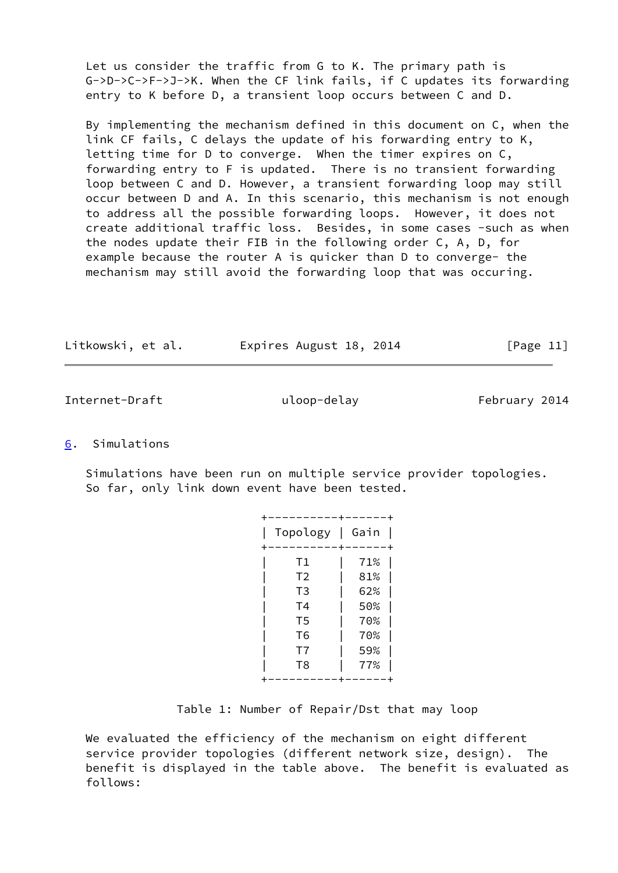Let us consider the traffic from G to K. The primary path is G->D->C->F->J->K. When the CF link fails, if C updates its forwarding entry to K before D, a transient loop occurs between C and D.

 By implementing the mechanism defined in this document on C, when the link CF fails, C delays the update of his forwarding entry to K, letting time for D to converge. When the timer expires on C, forwarding entry to F is updated. There is no transient forwarding loop between C and D. However, a transient forwarding loop may still occur between D and A. In this scenario, this mechanism is not enough to address all the possible forwarding loops. However, it does not create additional traffic loss. Besides, in some cases -such as when the nodes update their FIB in the following order C, A, D, for example because the router A is quicker than D to converge- the mechanism may still avoid the forwarding loop that was occuring.

| Litkowski, et al. | Expires August 18, 2014 | [Page 11] |
|-------------------|-------------------------|-----------|
|-------------------|-------------------------|-----------|

<span id="page-12-1"></span>Internet-Draft uloop-delay uloop-terminal February 2014

## <span id="page-12-0"></span>[6](#page-12-0). Simulations

 Simulations have been run on multiple service provider topologies. So far, only link down event have been tested.

| Gain | ┱<br>Topology  |
|------|----------------|
| 71%  | T1             |
| 81%  | T <sub>2</sub> |
| 62%  | T <sub>3</sub> |
| 50%  | T <sub>4</sub> |
| 70%  | T <sub>5</sub> |
| 70%  | T <sub>6</sub> |
| 59%  | T7             |
| 77%  | T <sub>8</sub> |
|      |                |

Table 1: Number of Repair/Dst that may loop

 We evaluated the efficiency of the mechanism on eight different service provider topologies (different network size, design). The benefit is displayed in the table above. The benefit is evaluated as follows: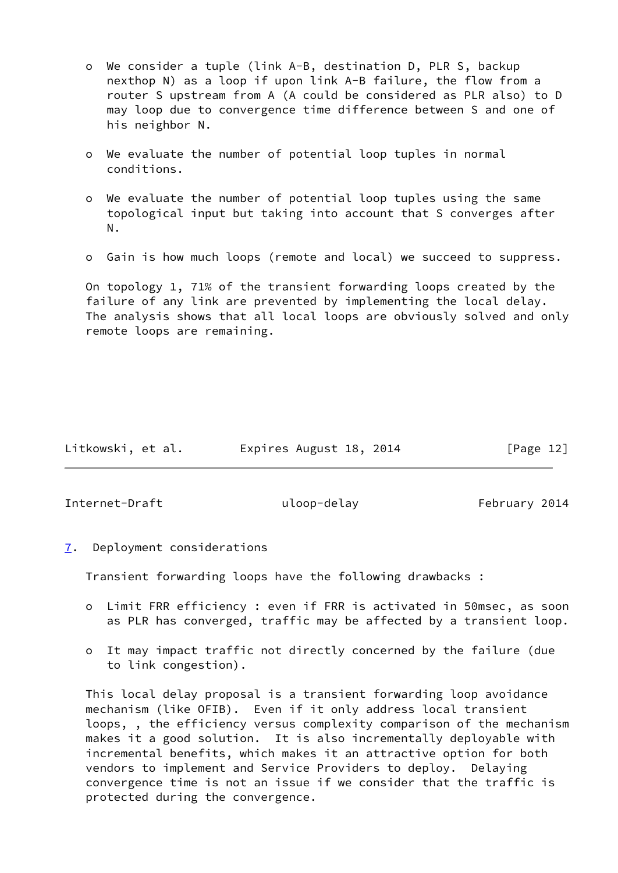- o We consider a tuple (link A-B, destination D, PLR S, backup nexthop N) as a loop if upon link A-B failure, the flow from a router S upstream from A (A could be considered as PLR also) to D may loop due to convergence time difference between S and one of his neighbor N.
- o We evaluate the number of potential loop tuples in normal conditions.
- o We evaluate the number of potential loop tuples using the same topological input but taking into account that S converges after N.
- o Gain is how much loops (remote and local) we succeed to suppress.

 On topology 1, 71% of the transient forwarding loops created by the failure of any link are prevented by implementing the local delay. The analysis shows that all local loops are obviously solved and only remote loops are remaining.

| Litkowski, et al. | Expires August 18, 2014 | [Page 12] |
|-------------------|-------------------------|-----------|
|                   |                         |           |

<span id="page-13-1"></span>Internet-Draft and uloop-delay represent the uloop-delay and the February 2014

<span id="page-13-0"></span>[7](#page-13-0). Deployment considerations

Transient forwarding loops have the following drawbacks :

- o Limit FRR efficiency : even if FRR is activated in 50msec, as soon as PLR has converged, traffic may be affected by a transient loop.
- o It may impact traffic not directly concerned by the failure (due to link congestion).

 This local delay proposal is a transient forwarding loop avoidance mechanism (like OFIB). Even if it only address local transient loops, , the efficiency versus complexity comparison of the mechanism makes it a good solution. It is also incrementally deployable with incremental benefits, which makes it an attractive option for both vendors to implement and Service Providers to deploy. Delaying convergence time is not an issue if we consider that the traffic is protected during the convergence.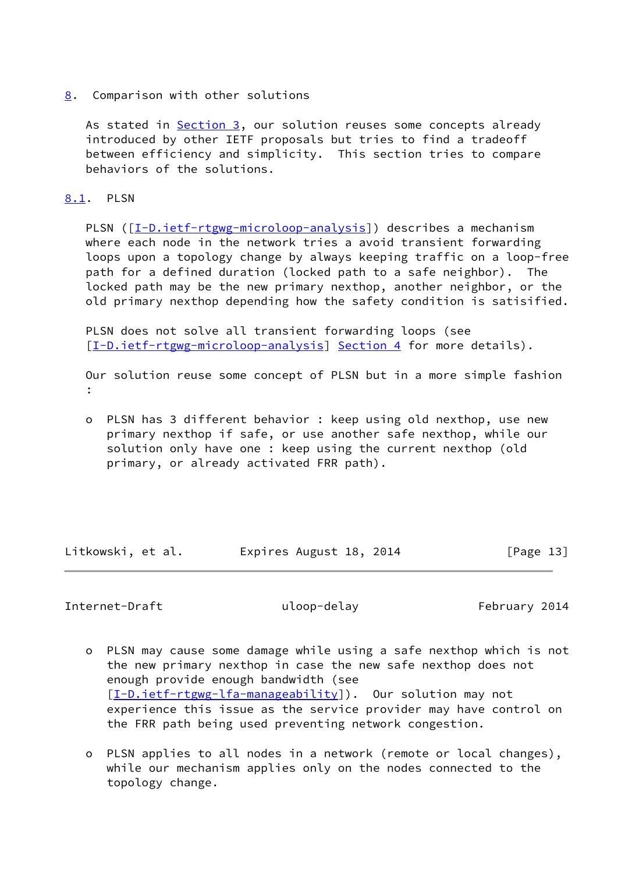<span id="page-14-0"></span>[8](#page-14-0). Comparison with other solutions

As stated in [Section 3](#page-7-0), our solution reuses some concepts already introduced by other IETF proposals but tries to find a tradeoff between efficiency and simplicity. This section tries to compare behaviors of the solutions.

## <span id="page-14-1"></span>[8.1](#page-14-1). PLSN

PLSN ([[I-D.ietf-rtgwg-microloop-analysis\]](#page-16-4)) describes a mechanism where each node in the network tries a avoid transient forwarding loops upon a topology change by always keeping traffic on a loop-free path for a defined duration (locked path to a safe neighbor). The locked path may be the new primary nexthop, another neighbor, or the old primary nexthop depending how the safety condition is satisified.

 PLSN does not solve all transient forwarding loops (see [\[I-D.ietf-rtgwg-microloop-analysis](#page-16-4)] [Section 4](#page-7-1) for more details).

 Our solution reuse some concept of PLSN but in a more simple fashion :

 o PLSN has 3 different behavior : keep using old nexthop, use new primary nexthop if safe, or use another safe nexthop, while our solution only have one : keep using the current nexthop (old primary, or already activated FRR path).

Litkowski, et al. Expires August 18, 2014 [Page 13]

## <span id="page-14-2"></span>Internet-Draft and uloop-delay February 2014

- o PLSN may cause some damage while using a safe nexthop which is not the new primary nexthop in case the new safe nexthop does not enough provide enough bandwidth (see [[I-D.ietf-rtgwg-lfa-manageability\]](#page-16-5)). Our solution may not experience this issue as the service provider may have control on the FRR path being used preventing network congestion.
- o PLSN applies to all nodes in a network (remote or local changes), while our mechanism applies only on the nodes connected to the topology change.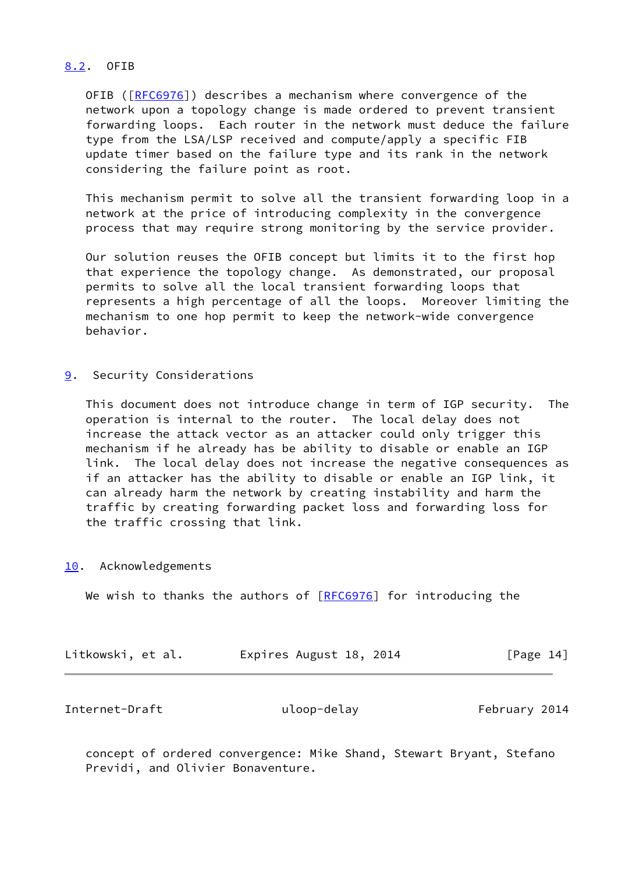## <span id="page-15-0"></span>[8.2](#page-15-0). OFIB

 OFIB ([[RFC6976](https://datatracker.ietf.org/doc/pdf/rfc6976)]) describes a mechanism where convergence of the network upon a topology change is made ordered to prevent transient forwarding loops. Each router in the network must deduce the failure type from the LSA/LSP received and compute/apply a specific FIB update timer based on the failure type and its rank in the network considering the failure point as root.

 This mechanism permit to solve all the transient forwarding loop in a network at the price of introducing complexity in the convergence process that may require strong monitoring by the service provider.

 Our solution reuses the OFIB concept but limits it to the first hop that experience the topology change. As demonstrated, our proposal permits to solve all the local transient forwarding loops that represents a high percentage of all the loops. Moreover limiting the mechanism to one hop permit to keep the network-wide convergence behavior.

<span id="page-15-1"></span>[9](#page-15-1). Security Considerations

 This document does not introduce change in term of IGP security. The operation is internal to the router. The local delay does not increase the attack vector as an attacker could only trigger this mechanism if he already has be ability to disable or enable an IGP link. The local delay does not increase the negative consequences as if an attacker has the ability to disable or enable an IGP link, it can already harm the network by creating instability and harm the traffic by creating forwarding packet loss and forwarding loss for the traffic crossing that link.

<span id="page-15-2"></span>[10.](#page-15-2) Acknowledgements

We wish to thanks the authors of  $[REC6976]$  for introducing the

| Litkowski, et al. | Expires August 18, 2014 | [Page 14] |
|-------------------|-------------------------|-----------|
|-------------------|-------------------------|-----------|

<span id="page-15-3"></span>

| Internet-Draft | uloop-delay | February 2014 |
|----------------|-------------|---------------|
|----------------|-------------|---------------|

 concept of ordered convergence: Mike Shand, Stewart Bryant, Stefano Previdi, and Olivier Bonaventure.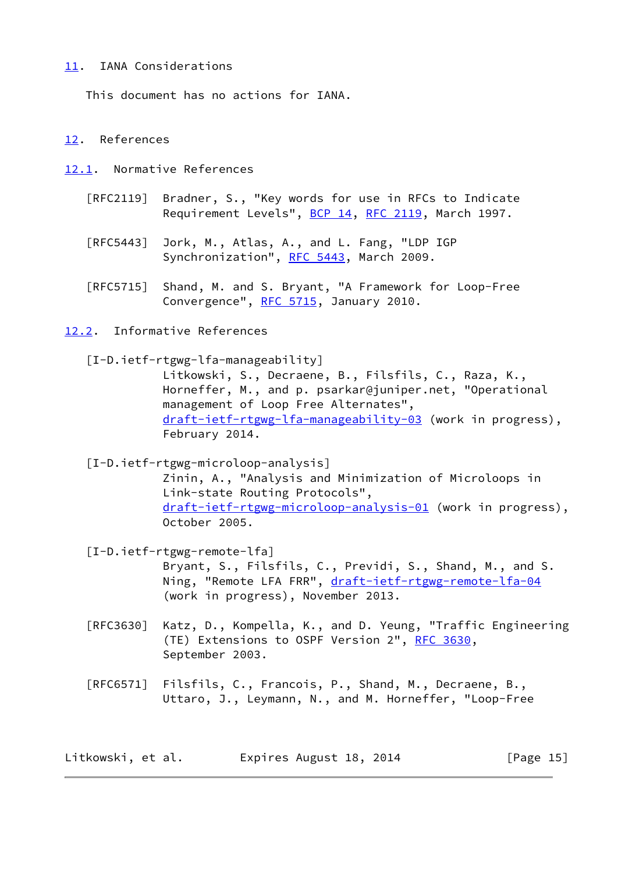## <span id="page-16-0"></span>[11.](#page-16-0) IANA Considerations

This document has no actions for IANA.

## <span id="page-16-1"></span>[12.](#page-16-1) References

<span id="page-16-2"></span>[12.1](#page-16-2). Normative References

- [RFC2119] Bradner, S., "Key words for use in RFCs to Indicate Requirement Levels", [BCP 14](https://datatracker.ietf.org/doc/pdf/bcp14), [RFC 2119](https://datatracker.ietf.org/doc/pdf/rfc2119), March 1997.
- [RFC5443] Jork, M., Atlas, A., and L. Fang, "LDP IGP Synchronization", [RFC 5443](https://datatracker.ietf.org/doc/pdf/rfc5443), March 2009.
- [RFC5715] Shand, M. and S. Bryant, "A Framework for Loop-Free Convergence", [RFC 5715](https://datatracker.ietf.org/doc/pdf/rfc5715), January 2010.

<span id="page-16-3"></span>[12.2](#page-16-3). Informative References

<span id="page-16-5"></span>[I-D.ietf-rtgwg-lfa-manageability]

 Litkowski, S., Decraene, B., Filsfils, C., Raza, K., Horneffer, M., and p. psarkar@juniper.net, "Operational management of Loop Free Alternates", [draft-ietf-rtgwg-lfa-manageability-03](https://datatracker.ietf.org/doc/pdf/draft-ietf-rtgwg-lfa-manageability-03) (work in progress), February 2014.

<span id="page-16-4"></span>[I-D.ietf-rtgwg-microloop-analysis]

 Zinin, A., "Analysis and Minimization of Microloops in Link-state Routing Protocols", [draft-ietf-rtgwg-microloop-analysis-01](https://datatracker.ietf.org/doc/pdf/draft-ietf-rtgwg-microloop-analysis-01) (work in progress), October 2005.

 [I-D.ietf-rtgwg-remote-lfa] Bryant, S., Filsfils, C., Previdi, S., Shand, M., and S. Ning, "Remote LFA FRR", [draft-ietf-rtgwg-remote-lfa-04](https://datatracker.ietf.org/doc/pdf/draft-ietf-rtgwg-remote-lfa-04) (work in progress), November 2013.

- [RFC3630] Katz, D., Kompella, K., and D. Yeung, "Traffic Engineering (TE) Extensions to OSPF Version 2", [RFC 3630,](https://datatracker.ietf.org/doc/pdf/rfc3630) September 2003.
- [RFC6571] Filsfils, C., Francois, P., Shand, M., Decraene, B., Uttaro, J., Leymann, N., and M. Horneffer, "Loop-Free

| Litkowski, et al. | Expires August 18, 2014 | [Page 15] |
|-------------------|-------------------------|-----------|
|-------------------|-------------------------|-----------|